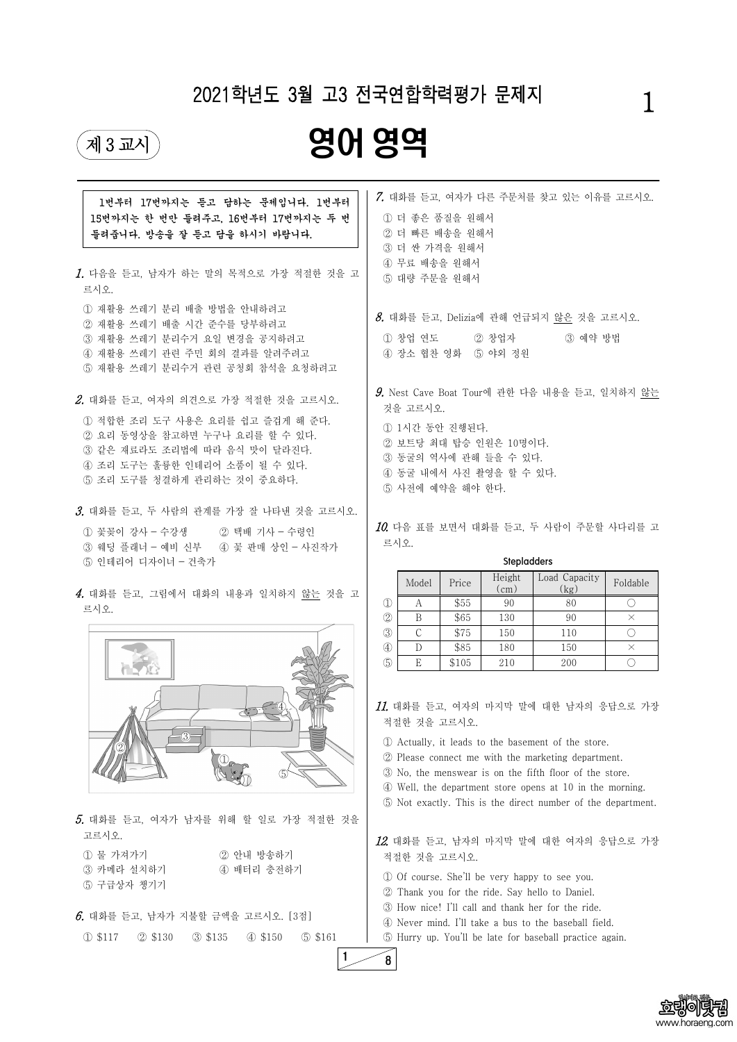



| 1번부터 17번까지는 듣고 답하는 문제입니다. 1번부터<br>15번까지는 한 번만 들려주고, 16번부터 17번까지는 두 번<br>들려줍니다. 방송을 잘 듣고 답을 하시기 바랍니다.<br>1. 다음을 듣고, 남자가 하는 말의 목적으로 가장 적절한 것을 고<br>르시오.                                                      | 7. 대화를 듣고, 여자가 다른 주문처를 찾고 있는 이유를 고르시오.<br>1 더 좋은 품질을 원해서<br>2 더 빠른 배송을 원해서<br>3 더 싼 가격을 원해서<br>4 무료 배송을 원해서<br>5 대량 주문을 원해서                                                      |               |       |                             |                                                      |            |
|------------------------------------------------------------------------------------------------------------------------------------------------------------------------------------------------------------|----------------------------------------------------------------------------------------------------------------------------------------------------------------------------------|---------------|-------|-----------------------------|------------------------------------------------------|------------|
| 1 재활용 쓰레기 분리 배출 방법을 안내하려고<br>2 재활용 쓰레기 배출 시간 준수를 당부하려고<br>3 재활용 쓰레기 분리수거 요일 변경을 공지하려고<br>4) 재활용 쓰레기 관련 주민 회의 결과를 알려주려고<br>5 재활용 쓰레기 분리수거 관련 공청회 참석을 요청하려고                                                  |                                                                                                                                                                                  | 1 창업 연도       |       | ② 창업자<br>4 장소 협찬 영화 5 야외 정원 | $8.$ 대화를 듣고, Delizia에 관해 언급되지 않은 것을 고르시오.<br>3 예약 방법 |            |
| 2. 대화를 듣고, 여자의 의견으로 가장 적절한 것을 고르시오.<br>1 적합한 조리 도구 사용은 요리를 쉽고 즐겁게 해 준다.<br>② 요리 동영상을 참고하면 누구나 요리를 할 수 있다.<br>3 같은 재료라도 조리법에 따라 음식 맛이 달라진다.<br>4 조리 도구는 훌륭한 인테리어 소품이 될 수 있다.<br>5 조리 도구를 청결하게 관리하는 것이 중요하다. | $9$ . Nest Cave Boat Tour에 관한 다음 내용을 듣고, 일치하지 않는<br>것을 고르시오.<br>1 1시간 동안 진행된다.<br>2 보트당 최대 탑승 인원은 10명이다.<br>3 동굴의 역사에 관해 들을 수 있다.<br>4 동굴 내에서 사진 촬영을 할 수 있다.<br>5 사전에 예약을 해야 한다. |               |       |                             |                                                      |            |
| 3. 대화를 듣고, 두 사람의 관계를 가장 잘 나타낸 것을 고르시오.<br>1 꽃꽂이 강사 - 수강생<br>② 택배 기사 - 수령인<br>③ 웨딩 플래너 - 예비 신부 - 4 꽃 판매 상인 - 사진작가<br>5 인테리어 디자이너 - 건축가                                                                      |                                                                                                                                                                                  | 르시오.          |       | <b>Stepladders</b>          | $10$ . 다음 표를 보면서 대화를 듣고, 두 사람이 주문할 사다리를 고            |            |
|                                                                                                                                                                                                            |                                                                                                                                                                                  | Model         | Price | (cm)                        | Height   Load Capacity  <br>(kg)                     | Foldable   |
| 4. 대화를 듣고, 그림에서 대화의 내용과 일치하지 않는 것을 고                                                                                                                                                                       | $\mathbb{O}$                                                                                                                                                                     | A             | \$55  | 90                          | 80                                                   | $\bigcirc$ |
| 르시오.                                                                                                                                                                                                       | $\circled{2}$                                                                                                                                                                    | B             | \$65  | 130                         | 90                                                   | $\times$   |
|                                                                                                                                                                                                            | $\circled{3}$                                                                                                                                                                    | $\mathcal{C}$ | \$75  | 150                         | 110                                                  | $\bigcirc$ |
|                                                                                                                                                                                                            | $\bigcirc$                                                                                                                                                                       | D             | \$85  | 180                         | 150                                                  | $\times$   |
|                                                                                                                                                                                                            | $\circledS$                                                                                                                                                                      | E             | \$105 | 210                         | 200                                                  | $\bigcirc$ |
|                                                                                                                                                                                                            |                                                                                                                                                                                  |               |       |                             | $\mathit{11}$ . 대화를 듣고, 여자의 마지막 말에 대한 남자의 응답으로 가장    |            |

| 고르시오.                                |  | 5. 대화를 듣고, 여자가 남자를 위해 할 일로 가장 적절한 것을                                                                           |  |                          |  |           | C<br>12.            |
|--------------------------------------|--|----------------------------------------------------------------------------------------------------------------|--|--------------------------|--|-----------|---------------------|
| ① 물 가져가기<br>3 카메라 설치하기<br>5 구급상자 챙기기 |  |                                                                                                                |  | 2 안내 방송하기<br>4) 배터리 충전하기 |  |           | $\bar{z}$<br>C<br>C |
| 1 \$117                              |  | $6.$ 대화를 듣고, 남자가 지불할 금액을 고르시오. [3점]<br>$\textcircled{2}$ \$130 $\textcircled{3}$ \$135 $\textcircled{4}$ \$150 |  |                          |  | $$\,5161$ | C<br>Ç<br>(         |
|                                      |  |                                                                                                                |  |                          |  |           |                     |

 $\left| \circ \right|$ 

 $\oslash$   $\vee$   $\searrow$ 

 $\mathbb{O}_{\mathbb{R}^m}$ 

 $\mathbb{S}\sqrt{N}$ 

적절한 것을 고르시오.

① Actually, it leads to the basement of the store.

② Please connect me with the marketing department.

③ No, the menswear is on the fifth floor of the store.

④ Well, the department store opens at 10 in the morning. ⑤ Not exactly. This is the direct number of the department.

12. 대화를 듣고, 남자의 마지막 말에 대한 여자의 응답으로 가장 적절한 것을 고르시오.

① Of course. She'll be very happy to see you. ② Thank you for the ride. Say hello to Daniel. ③ How nice! I'll call and thank her for the ride. ④ Never mind. I'll take a bus to the baseball field. ⑤ Hurry up. You'll be late for baseball practice again.

## 2021학년도 3월 고3 전국연합학력평가 문제지

## 1

# $\begin{picture}(45,10) \put(0,0){\line(1,0){100}} \put(15,10){\line(1,0){100}} \put(15,10){\line(1,0){100}} \put(15,10){\line(1,0){100}} \put(15,10){\line(1,0){100}} \put(15,10){\line(1,0){100}} \put(15,10){\line(1,0){100}} \put(15,10){\line(1,0){100}} \put(15,10){\line(1,0){100}} \put(15,10){\line(1,0){100}} \put(15,10){\line$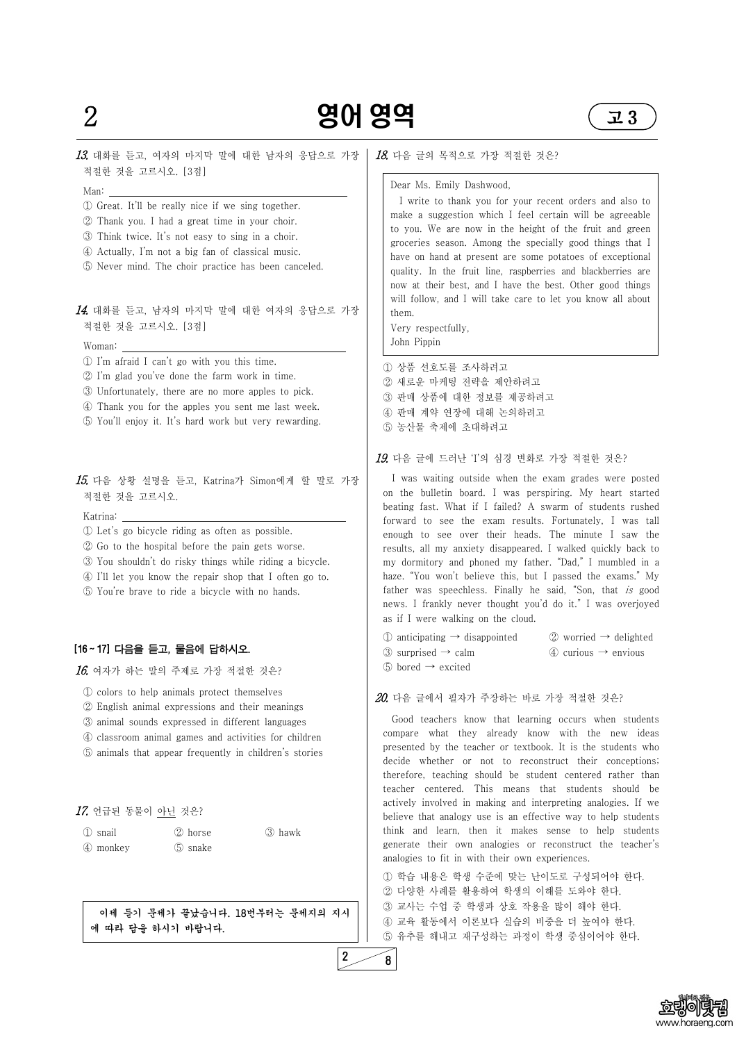



## 13. 대화를 듣고, 여자의 마지막 말에 대한 남자의 응답으로 가장 적절한 것을 고르시오. [3점]

- Man: ① Great. It'll be really nice if we sing together.
- ② Thank you. I had a great time in your choir.
- ③ Think twice. It's not easy to sing in a choir.
- ④ Actually, I'm not a big fan of classical music.
- ⑤ Never mind. The choir practice has been canceled.

- Woman:<br>
① I'm afraid I can't go with you this time.
- ② I'm glad you've done the farm work in time.
- ③ Unfortunately, there are no more apples to pick.
- ④ Thank you for the apples you sent me last week.
- ⑤ You'll enjoy it. It's hard work but very rewarding.

#### $15$ . 다음 상황 설명을 듣고, Katrina가 Simon에게 할 말로 가장 적절한 것을 고르시오.

#### 14. 대화를 듣고, 남자의 마지막 말에 대한 여자의 응답으로 가장 적절한 것을 고르시오. [3점]

Katrina: ① Let's go bicycle riding as often as possible.

- ② Go to the hospital before the pain gets worse.
- ③ You shouldn't do risky things while riding a bicycle.
- ④ I'll let you know the repair shop that I often go to.
- ⑤ You're brave to ride a bicycle with no hands.

#### [16 ~ 17] 다음을 듣고, 물음에 답하시오.

 $16.$  여자가 하는 말의 주제로 가장 적절한 것은?

① colors to help animals protect themselves

- ② English animal expressions and their meanings
- ③ animal sounds expressed in different languages
- ④ classroom animal games and activities for children
- ⑤ animals that appear frequently in children's stories

#### 17. 언급된 동물이 아닌 것은?

| 1 snail  | ② horse | 3 hawk |
|----------|---------|--------|
| 4 monkey | 5 snake |        |

이제 듣기 문제가 끝났습니다. 18번부터는 문제지의 지시 에 따라 답을 하시기 바랍니다.

#### 18. 다음 글의 목적으로 가장 적절한 것은?

| $\mathbb D$ anticipating $\rightarrow$ disappointed | $\oslash$ worried $\rightarrow$ delighted |
|-----------------------------------------------------|-------------------------------------------|
| ③ surprised $\rightarrow$ calm                      | $(4)$ curious $\rightarrow$ envious       |
| $\circled{5}$ bored $\rightarrow$ excited           |                                           |

#### $20.$  다음 글에서 필자가 주장하는 바로 가장 적절한 것은?

#### Dear Ms. Emily Dashwood,

I write to thank you for your recent orders and also to make a suggestion which I feel certain will be agreeable to you. We are now in the height of the fruit and green groceries season. Among the specially good things that I have on hand at present are some potatoes of exceptional quality. In the fruit line, raspberries and blackberries are now at their best, and I have the best. Other good things will follow, and I will take care to let you know all about them.

Very respectfully, John Pippin

① 상품 선호도를 조사하려고 ② 새로운 마케팅 전략을 제안하려고 ③ 판매 상품에 대한 정보를 제공하려고 ④ 판매 계약 연장에 대해 논의하려고 ⑤ 농산물 축제에 초대하려고

#### 19. 다음 글에 드러난 'I'의 심경 변화로 가장 적절한 것은?

I was waiting outside when the exam grades were posted on the bulletin board. I was perspiring. My heart started beating fast. What if I failed? A swarm of students rushed forward to see the exam results. Fortunately, I was tall enough to see over their heads. The minute I saw the results, all my anxiety disappeared. I walked quickly back to my dormitory and phoned my father. "Dad," I mumbled in a haze. "You won't believe this, but I passed the exams." My father was speechless. Finally he said, "Son, that is good news. I frankly never thought you'd do it." I was overjoyed as if I were walking on the cloud.

Good teachers know that learning occurs when students compare what they already know with the new ideas presented by the teacher or textbook. It is the students who decide whether or not to reconstruct their conceptions; therefore, teaching should be student centered rather than teacher centered. This means that students should be actively involved in making and interpreting analogies. If we believe that analogy use is an effective way to help students think and learn, then it makes sense to help students generate their own analogies or reconstruct the teacher's analogies to fit in with their own experiences.

① 학습 내용은 학생 수준에 맞는 난이도로 구성되어야 한다. ② 다양한 사례를 활용하여 학생의 이해를 도와야 한다. ③ 교사는 수업 중 학생과 상호 작용을 많이 해야 한다. ④ 교육 활동에서 이론보다 실습의 비중을 더 높여야 한다. ⑤ 유추를 해내고 재구성하는 과정이 학생 중심이어야 한다.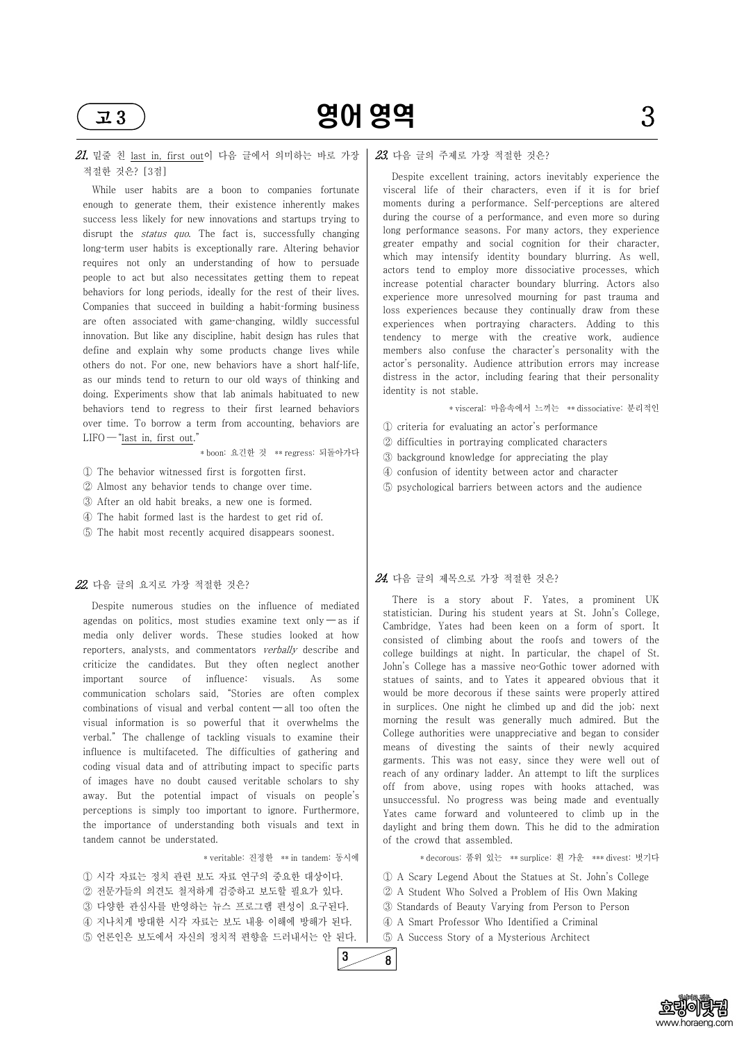



#### $21.$  밑줄 친 last in, first out이 다음 글에서 의미하는 바로 가장 적절한 것은? [3점]

While user habits are a boon to companies fortunate enough to generate them, their existence inherently makes success less likely for new innovations and startups trying to disrupt the *status quo*. The fact is, successfully changing long-term user habits is exceptionally rare. Altering behavior requires not only an understanding of how to persuade people to act but also necessitates getting them to repeat behaviors for long periods, ideally for the rest of their lives. Companies that succeed in building a habit-forming business are often associated with game-changing, wildly successful innovation. But like any discipline, habit design has rules that define and explain why some products change lives while others do not. For one, new behaviors have a short half-life, as our minds tend to return to our old ways of thinking and doing. Experiments show that lab animals habituated to new behaviors tend to regress to their first learned behaviors over time. To borrow a term from accounting, behaviors are  $LIFO$  - "last in, first out."

\* boon: 요긴한 것 \*\* regress: 되돌아가다

① The behavior witnessed first is forgotten first.

② Almost any behavior tends to change over time.

- ③ After an old habit breaks, a new one is formed.
- ④ The habit formed last is the hardest to get rid of.
- ⑤ The habit most recently acquired disappears soonest.

#### $22.$  다음 글의 요지로 가장 적절한 것은?

Despite numerous studies on the influence of mediated agendas on politics, most studies examine text only  $-\infty$  if media only deliver words. These studies looked at how reporters, analysts, and commentators verbally describe and criticize the candidates. But they often neglect another important source of influence: visuals. As some communication scholars said, "Stories are often complex combinations of visual and verbal content  $\neg$  all too often the visual information is so powerful that it overwhelms the verbal." The challenge of tackling visuals to examine their influence is multifaceted. The difficulties of gathering and coding visual data and of attributing impact to specific parts of images have no doubt caused veritable scholars to shy

away. But the potential impact of visuals on people's perceptions is simply too important to ignore. Furthermore, the importance of understanding both visuals and text in tandem cannot be understated.

\* veritable: 진정한 \*\* in tandem: 동시에

① 시각 자료는 정치 관련 보도 자료 연구의 중요한 대상이다. ② 전문가들의 의견도 철저하게 검증하고 보도할 필요가 있다. ③ 다양한 관심사를 반영하는 뉴스 프로그램 편성이 요구된다. ④ 지나치게 방대한 시각 자료는 보도 내용 이해에 방해가 된다. ⑤ 언론인은 보도에서 자신의 정치적 편향을 드러내서는 안 된다.

#### 23. 다음 글의 주제로 가장 적절한 것은?

Despite excellent training, actors inevitably experience the visceral life of their characters, even if it is for brief moments during a performance. Self-perceptions are altered during the course of a performance, and even more so during long performance seasons. For many actors, they experience greater empathy and social cognition for their character, which may intensify identity boundary blurring. As well, actors tend to employ more dissociative processes, which increase potential character boundary blurring. Actors also experience more unresolved mourning for past trauma and loss experiences because they continually draw from these experiences when portraying characters. Adding to this tendency to merge with the creative work, audience members also confuse the character's personality with the actor's personality. Audience attribution errors may increase distress in the actor, including fearing that their personality identity is not stable.

\* visceral: 마음속에서 느끼는 \*\* dissociative: 분리적인

- ① criteria for evaluating an actor's performance
- ② difficulties in portraying complicated characters
- ③ background knowledge for appreciating the play
- ④ confusion of identity between actor and character
- ⑤ psychological barriers between actors and the audience

#### $24.$  다음 글의 제목으로 가장 적절한 것은?

There is a story about F. Yates, a prominent UK statistician. During his student years at St. John's College, Cambridge, Yates had been keen on a form of sport. It consisted of climbing about the roofs and towers of the college buildings at night. In particular, the chapel of St. John's College has a massive neo-Gothic tower adorned with statues of saints, and to Yates it appeared obvious that it would be more decorous if these saints were properly attired in surplices. One night he climbed up and did the job; next morning the result was generally much admired. But the College authorities were unappreciative and began to consider means of divesting the saints of their newly acquired garments. This was not easy, since they were well out of reach of any ordinary ladder. An attempt to lift the surplices off from above, using ropes with hooks attached, was unsuccessful. No progress was being made and eventually Yates came forward and volunteered to climb up in the daylight and bring them down. This he did to the admiration of the crowd that assembled.

\* decorous: 품위 있는 \*\* surplice: 흰 가운 \*\*\* divest: 벗기다

① A Scary Legend About the Statues at St. John's College ② A Student Who Solved a Problem of His Own Making ③ Standards of Beauty Varying from Person to Person ④ A Smart Professor Who Identified a Criminal ⑤ A Success Story of a Mysterious Architect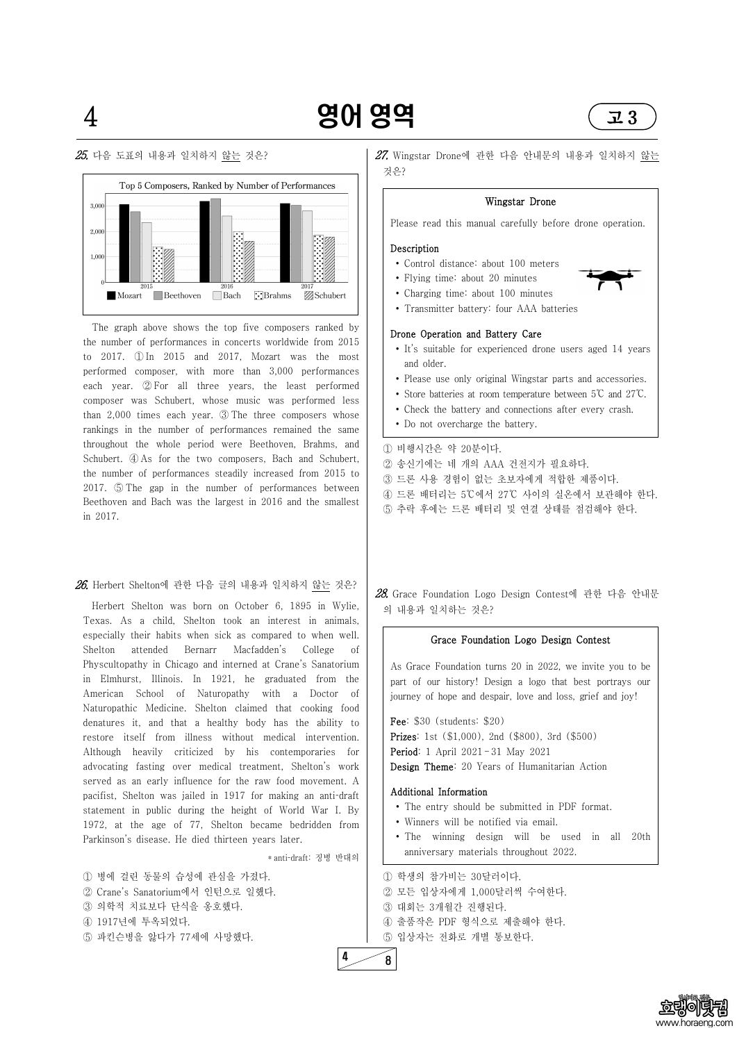**Schubert** 



2016 Beethoven Bach **E**Brahms

#### $25.$  다음 도표의 내용과 일치하지 않는 것은?

Mozart





The graph above shows the top five composers ranked by the number of performances in concerts worldwide from 2015 to 2017. ① In 2015 and 2017, Mozart was the most performed composer, with more than 3,000 performances each year. ② For all three years, the least performed composer was Schubert, whose music was performed less than 2,000 times each year. ③ The three composers whose rankings in the number of performances remained the same throughout the whole period were Beethoven, Brahms, and Schubert.  $\Phi$  As for the two composers, Bach and Schubert, the number of performances steadily increased from 2015 to 2017. ⑤ The gap in the number of performances between Beethoven and Bach was the largest in 2016 and the smallest in 2017.

 $26$ . Herbert Shelton에 관한 다음 글의 내용과 일치하지 않는 것은?

pacifist, Shelton was jailed in 1917 for making an anti-draft statement in public during the height of World War I. By 1972, at the age of 77, Shelton became bedridden from Parkinson's disease. He died thirteen years later.

 $27$ . Wingstar Drone에 관한 다음 안내문의 내용과 일치하지 않는 것은?

Herbert Shelton was born on October 6, 1895 in Wylie, Texas. As a child, Shelton took an interest in animals, especially their habits when sick as compared to when well. Shelton attended Bernarr Macfadden's College of Physcultopathy in Chicago and interned at Crane's Sanatorium in Elmhurst, Illinois. In 1921, he graduated from the American School of Naturopathy with a Doctor of Naturopathic Medicine. Shelton claimed that cooking food denatures it, and that a healthy body has the ability to restore itself from illness without medical intervention. Although heavily criticized by his contemporaries for advocating fasting over medical treatment, Shelton's work served as an early influence for the raw food movement. A

\* antidraft: 징병 반대의

① 병에 걸린 동물의 습성에 관심을 가졌다. ② Crane's Sanatorium에서 인턴으로 일했다. ③ 의학적 치료보다 단식을 옹호했다. ④ 1917년에 투옥되었다. ⑤ 파킨슨병을 앓다가 77세에 사망했다.

#### Wingstar Drone

Please read this manual carefully before drone operation.

#### Description

- <sup>∙</sup> Control distance: about 100 meters ∙ Flying time: about 20 minutes
- 
- ∙ Charging time: about 100 minutes
- ∙ Transmitter battery: four AAA batteries

#### Drone Operation and Battery Care

- ∙ It's suitable for experienced drone users aged 14 years and older.
- ∙ Please use only original Wingstar parts and accessories.
- ∙ Store batteries at room temperature between 5℃ and 27℃.
- ∙ Check the battery and connections after every crash.
- ∙ Do not overcharge the battery.

① 비행시간은 약 20분이다.

② 송신기에는 네 개의 AAA 건전지가 필요하다. ③ 드론 사용 경험이 없는 초보자에게 적합한 제품이다. ④ 드론 배터리는 5℃에서 27℃ 사이의 실온에서 보관해야 한다. ⑤ 추락 후에는 드론 배터리 및 연결 상태를 점검해야 한다.

28. Grace Foundation Logo Design Contest에 관한 다음 안내문 의 내용과 일치하는 것은?

#### Grace Foundation Logo Design Contest

As Grace Foundation turns 20 in 2022, we invite you to be part of our history! Design a logo that best portrays our journey of hope and despair, love and loss, grief and joy!

Fee: \$30 (students: \$20) Prizes: 1st (\$1,000), 2nd (\$800), 3rd (\$500) Period: 1 April 2021 – 31 May 2021 Design Theme: 20 Years of Humanitarian Action



#### Additional Information

- ∙ The entry should be submitted in PDF format.
- ∙ Winners will be notified via email.
- ∙ The winning design will be used in all 20th anniversary materials throughout 2022.

① 학생의 참가비는 30달러이다. ② 모든 입상자에게 1,000달러씩 수여한다. ③ 대회는 3개월간 진행된다. ④ 출품작은 PDF 형식으로 제출해야 한다. ⑤ 입상자는 전화로 개별 통보한다.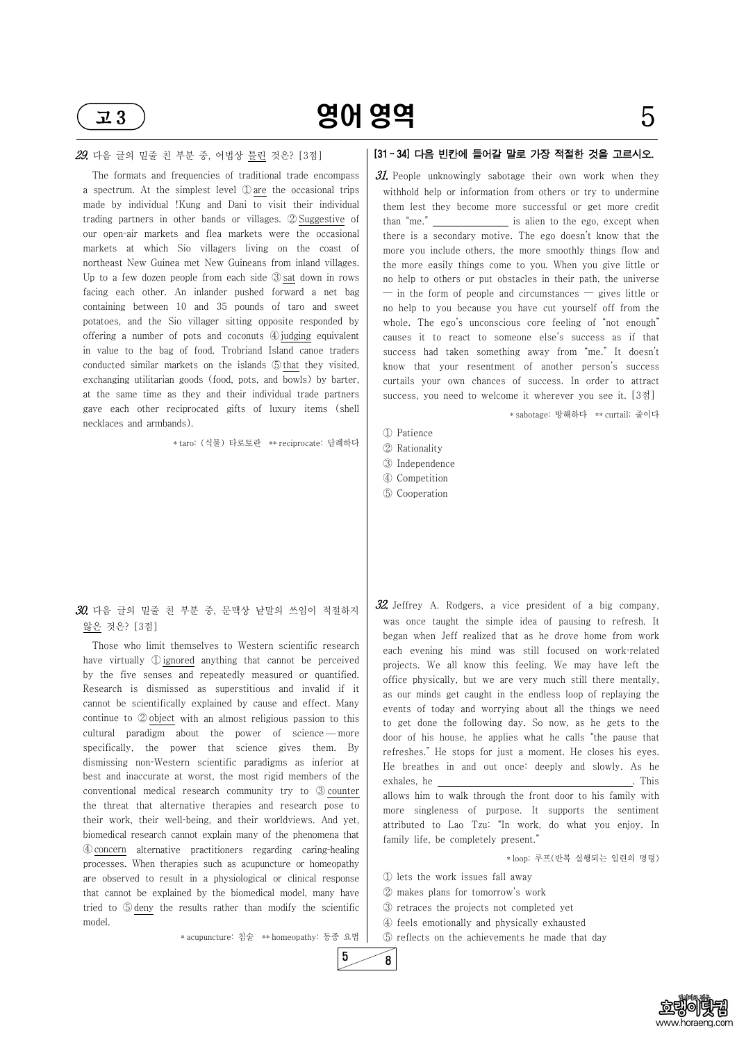



 $\overline{z}$ 3) 영어 영역 5

#### 29. 다음 글의 밑줄 친 부분 중, 어법상 틀린 것은? [3점]

The formats and frequencies of traditional trade encompass a spectrum. At the simplest level ① are the occasional trips made by individual !Kung and Dani to visit their individual trading partners in other bands or villages. ② Suggestive of our open-air markets and flea markets were the occasional markets at which Sio villagers living on the coast of northeast New Guinea met New Guineans from inland villages. Up to a few dozen people from each side ③ sat down in rows facing each other. An inlander pushed forward a net bag containing between 10 and 35 pounds of taro and sweet potatoes, and the Sio villager sitting opposite responded by offering a number of pots and coconuts ④judging equivalent in value to the bag of food. Trobriand Island canoe traders conducted similar markets on the islands ⑤that they visited, exchanging utilitarian goods (food, pots, and bowls) by barter, at the same time as they and their individual trade partners gave each other reciprocated gifts of luxury items (shell necklaces and armbands).

#### $30$ . 다음 글의 밑줄 친 부분 중, 문맥상 낱말의 쓰임이 적절하지 않은 것은? [3점]

\* taro: (식물) 타로토란 \*\* reciprocate: 답례하다

 $31.$  People unknowingly sabotage their own work when they withhold help or information from others or try to undermine them lest they become more successful or get more credit than "me." \_\_\_\_\_\_\_\_\_\_\_\_\_\_\_\_ is alien to the ego, except when there is a secondary motive. The ego doesn't know that the more you include others, the more smoothly things flow and the more easily things come to you. When you give little or no help to others or put obstacles in their path, the universe  $-$  in the form of people and circumstances  $-$  gives little or no help to you because you have cut yourself off from the whole. The ego's unconscious core feeling of "not enough" causes it to react to someone else's success as if that success had taken something away from "me." It doesn't know that your resentment of another person's success curtails your own chances of success. In order to attract success, you need to welcome it wherever you see it. [3점]

Those who limit themselves to Western scientific research have virtually ① ignored anything that cannot be perceived by the five senses and repeatedly measured or quantified. Research is dismissed as superstitious and invalid if it cannot be scientifically explained by cause and effect. Many continue to ② object with an almost religious passion to this cultural paradigm about the power of science — more specifically, the power that science gives them. By dismissing non-Western scientific paradigms as inferior at best and inaccurate at worst, the most rigid members of the conventional medical research community try to ③ counter the threat that alternative therapies and research pose to their work, their well-being, and their worldviews. And yet, biomedical research cannot explain many of the phenomena that ④concern alternative practitioners regarding caringhealing processes. When therapies such as acupuncture or homeopathy are observed to result in a physiological or clinical response that cannot be explained by the biomedical model, many have tried to ⑤deny the results rather than modify the scientific model.

\* acupuncture: 침술 \*\* homeopathy: 동종 요법

### [31 ~ 34] 다음 빈칸에 들어갈 말로 가장 적절한 것을 고르시오.

\* sabotage: 방해하다 \*\* curtail: 줄이다

- ① Patience
- ② Rationality
- ③ Independence
- ④ Competition
- ⑤ Cooperation

 $32$ . Jeffrey A. Rodgers, a vice president of a big company, was once taught the simple idea of pausing to refresh. It began when Jeff realized that as he drove home from work each evening his mind was still focused on work-related projects. We all know this feeling. We may have left the office physically, but we are very much still there mentally, as our minds get caught in the endless loop of replaying the events of today and worrying about all the things we need to get done the following day. So now, as he gets to the door of his house, he applies what he calls "the pause that refreshes." He stops for just a moment. He closes his eyes. He breathes in and out once: deeply and slowly. As he exhales, he . This

allows him to walk through the front door to his family with more singleness of purpose. It supports the sentiment attributed to Lao Tzu: "In work, do what you enjoy. In family life, be completely present."

\* loop: 루프(반복 실행되는 일련의 명령)

① lets the work issues fall away ② makes plans for tomorrow's work ③ retraces the projects not completed yet ④ feels emotionally and physically exhausted ⑤ reflects on the achievements he made that day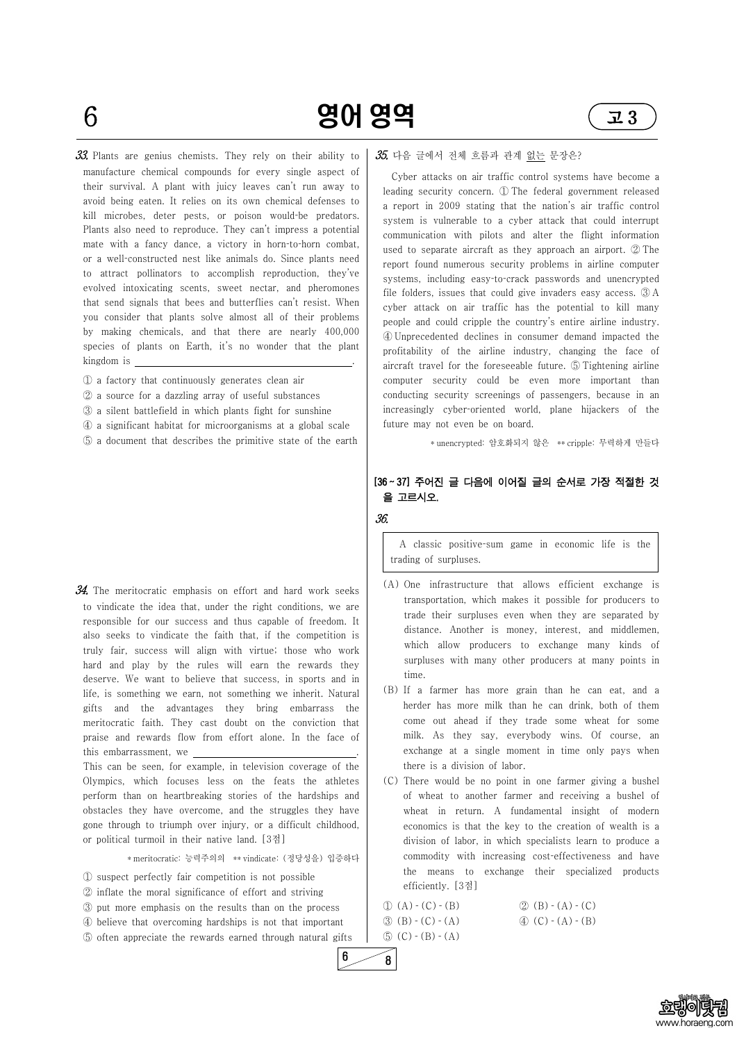



 $6$  **영어 영역**  $\left($  고 3

 $33$ . Plants are genius chemists. They rely on their ability to manufacture chemical compounds for every single aspect of their survival. A plant with juicy leaves can't run away to avoid being eaten. It relies on its own chemical defenses to kill microbes, deter pests, or poison would-be predators. Plants also need to reproduce. They can't impress a potential mate with a fancy dance, a victory in horn-to-horn combat, or a well-constructed nest like animals do. Since plants need to attract pollinators to accomplish reproduction, they've evolved intoxicating scents, sweet nectar, and pheromones that send signals that bees and butterflies can't resist. When you consider that plants solve almost all of their problems by making chemicals, and that there are nearly 400,000 species of plants on Earth, it's no wonder that the plant kingdom is .

- ① a factory that continuously generates clean air
- ② a source for a dazzling array of useful substances
- ③ a silent battlefield in which plants fight for sunshine
- ④ a significant habitat for microorganisms at a global scale
- ⑤ a document that describes the primitive state of the earth

 $34.$  The meritocratic emphasis on effort and hard work seeks to vindicate the idea that, under the right conditions, we are responsible for our success and thus capable of freedom. It also seeks to vindicate the faith that, if the competition is truly fair, success will align with virtue; those who work hard and play by the rules will earn the rewards they deserve. We want to believe that success, in sports and in life, is something we earn, not something we inherit. Natural gifts and the advantages they bring embarrass the meritocratic faith. They cast doubt on the conviction that praise and rewards flow from effort alone. In the face of this embarrassment, we  $\frac{1}{\sqrt{1-\frac{1}{n}}}$ .

A classic positive-sum game in economic life is the trading of surpluses.

Olympics, which focuses less on the feats the athletes

#### $35$ . 다음 글에서 전체 흐름과 관계 없는 문장은?

perform than on heartbreaking stories of the hardships and obstacles they have overcome, and the struggles they have gone through to triumph over injury, or a difficult childhood, or political turmoil in their native land. [3점]

\* meritocratic: 능력주의의 \*\* vindicate: (정당성을) 입증하다

① suspect perfectly fair competition is not possible ② inflate the moral significance of effort and striving ③ put more emphasis on the results than on the process ④ believe that overcoming hardships is not that important ⑤ often appreciate the rewards earned through natural gifts

Cyber attacks on air traffic control systems have become a leading security concern. ① The federal government released a report in 2009 stating that the nation's air traffic control system is vulnerable to a cyber attack that could interrupt communication with pilots and alter the flight information used to separate aircraft as they approach an airport. ② The report found numerous security problems in airline computer systems, including easy-to-crack passwords and unencrypted file folders, issues that could give invaders easy access. ③ A cyber attack on air traffic has the potential to kill many people and could cripple the country's entire airline industry. ④ Unprecedented declines in consumer demand impacted the profitability of the airline industry, changing the face of aircraft travel for the foreseeable future. ⑤ Tightening airline computer security could be even more important than conducting security screenings of passengers, because in an increasingly cyber-oriented world, plane hijackers of the future may not even be on board.

\* unencrypted: 암호화되지 않은 \*\* cripple: 무력하게 만들다

#### [36 ~ 37] 주어진 글 다음에 이어질 글의 순서로 가장 적절한 것 을 고르시오.

36.

- (A) One infrastructure that allows efficient exchange is transportation, which makes it possible for producers to trade their surpluses even when they are separated by distance. Another is money, interest, and middlemen, which allow producers to exchange many kinds of surpluses with many other producers at many points in time.
- (B) If a farmer has more grain than he can eat, and a herder has more milk than he can drink, both of them come out ahead if they trade some wheat for some milk. As they say, everybody wins. Of course, an exchange at a single moment in time only pays when there is a division of labor.
- (C) There would be no point in one farmer giving a bushel

of wheat to another farmer and receiving a bushel of wheat in return. A fundamental insight of modern economics is that the key to the creation of wealth is a division of labor, in which specialists learn to produce a commodity with increasing cost-effectiveness and have the means to exchange their specialized products efficiently. [3점]

 $\textcircled{1}$  (A) - (C) - (B)  $\textcircled{2}$  (B) - (A) - (C)  $\textcircled{3}$  (B)  $\textcircled{.}$  (C)  $\textcircled{.}$  (A)  $\textcircled{.}$  (B)  $\textcircled{.}$  (B)  $\textcircled{.}$  (B)  $\circled{5}$  (C)  $\circ$  (B)  $\circ$  (A)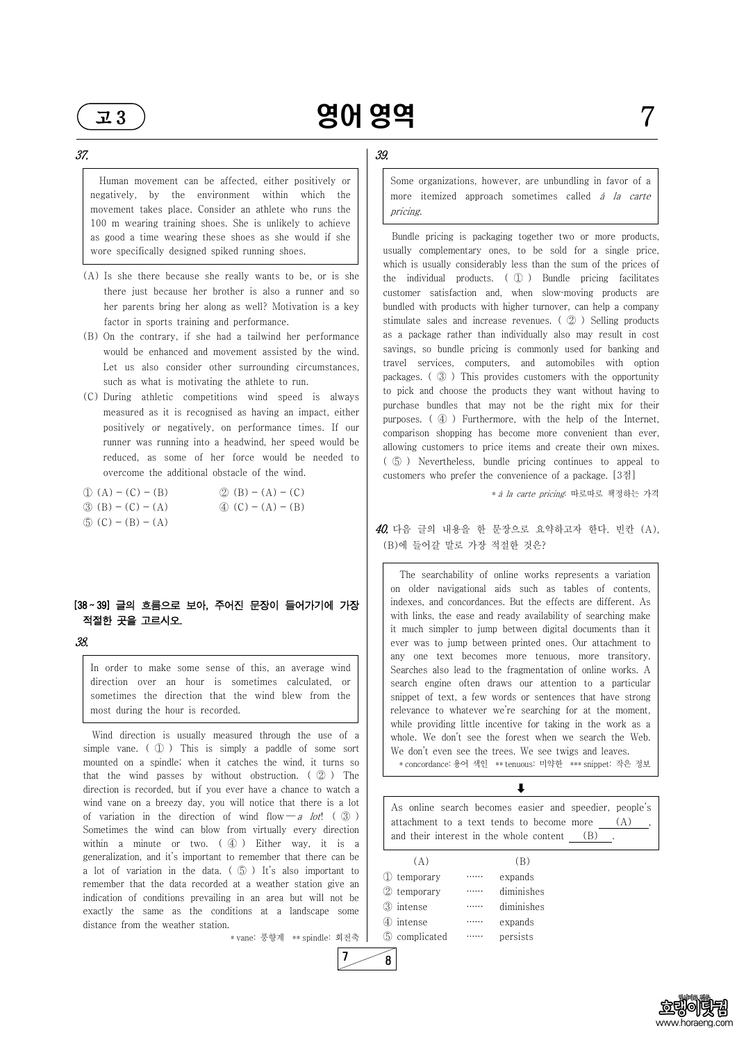



Human movement can be affected, either positively or negatively, by the environment within which the movement takes place. Consider an athlete who runs the 100 m wearing training shoes. She is unlikely to achieve as good a time wearing these shoes as she would if she wore specifically designed spiked running shoes.

- (A) Is she there because she really wants to be, or is she there just because her brother is also a runner and so her parents bring her along as well? Motivation is a key factor in sports training and performance.
- (B) On the contrary, if she had a tailwind her performance would be enhanced and movement assisted by the wind. Let us also consider other surrounding circumstances, such as what is motivating the athlete to run.
- (C) During athletic competitions wind speed is always measured as it is recognised as having an impact, either positively or negatively, on performance times. If our runner was running into a headwind, her speed would be reduced, as some of her force would be needed to overcome the additional obstacle of the wind.

| $\textcircled{1}$ (A) – (C) – (B) | $(2)(B) - (A) - (C)$              |
|-----------------------------------|-----------------------------------|
| $\textcircled{3}$ (B) – (C) – (A) | $\textcircled{4}$ (C) – (A) – (B) |
| $\circled{5}$ (C) – (B) – (A)     |                                   |

#### [38 ~ 39] 글의 흐름으로 보아, 주어진 문장이 들어가기에 가장 적절한 곳을 고르시오.

38.

In order to make some sense of this, an average wind direction over an hour is sometimes calculated, or sometimes the direction that the wind blew from the most during the hour is recorded.

Wind direction is usually measured through the use of a simple vane.  $(\circ)$  This is simply a paddle of some sort mounted on a spindle; when it catches the wind, it turns so that the wind passes by without obstruction.  $(\mathcal{Q})$  The direction is recorded, but if you ever have a chance to watch a wind vane on a breezy day, you will notice that there is a lot of variation in the direction of wind flow — a lot! ( $\circled{3}$ ) | attachment to a text tends to become more Sometimes the wind can blow from virtually every direction within a minute or two.  $(\mathcal{A})$  Either way, it is a generalization, and it's important to remember that there can be a lot of variation in the data.  $(\circled{5})$  It's also important to  $\circled{1}$ remember that the data recorded at a weather station give an  $\qquad \qquad \odot$ indication of conditions prevailing in an area but will not be  $\frac{1}{3}$ exactly the same as the conditions at a landscape some  $\begin{pmatrix} 0 \\ 4 \end{pmatrix}$ distance from the weather station.

\* vane: 풍향계 \*\* spindle: 회전축

 $\downarrow$ As online search becomes easier and speedier, people's attachment to a text tends to become more  $(A)$  and their interest in the whole content (B).

### 39.

Some organizations, however, are unbundling in favor of a more itemized approach sometimes called *à la carte* pricing.

Bundle pricing is packaging together two or more products, usually complementary ones, to be sold for a single price, which is usually considerably less than the sum of the prices of the individual products. ( ① ) Bundle pricing facilitates customer satisfaction and, when slow-moving products are bundled with products with higher turnover, can help a company stimulate sales and increase revenues. ( ② ) Selling products as a package rather than individually also may result in cost savings, so bundle pricing is commonly used for banking and travel services, computers, and automobiles with option packages. ( ③ ) This provides customers with the opportunity to pick and choose the products they want without having to purchase bundles that may not be the right mix for their purposes. ( ④ ) Furthermore, with the help of the Internet, comparison shopping has become more convenient than ever, allowing customers to price items and create their own mixes. ( ⑤ ) Nevertheless, bundle pricing continues to appeal to customers who prefer the convenience of a package. [3점]

\* à la carte pricing: 따로따로 책정하는 가격

40. 다음 글의 내용을 한 문장으로 요약하고자 한다. 빈칸 (A), (B)에 들어갈 말로 가장 적절한 것은?

The searchability of online works represents a variation on older navigational aids such as tables of contents, indexes, and concordances. But the effects are different. As with links, the ease and ready availability of searching make it much simpler to jump between digital documents than it ever was to jump between printed ones. Our attachment to any one text becomes more tenuous, more transitory. Searches also lead to the fragmentation of online works. A search engine often draws our attention to a particular snippet of text, a few words or sentences that have strong relevance to whatever we're searching for at the moment, while providing little incentive for taking in the work as a whole. We don't see the forest when we search the Web. We don't even see the trees. We see twigs and leaves. \* concordance: 용어 색인 \*\* tenuous: 미약한 \*\*\* snippet: 작은 정보

| (A)           | (B)          |  |
|---------------|--------------|--|
| ① temporary   | expands      |  |
| ② temporary   | diminishes   |  |
| ③ intense     | diminishes   |  |
| 4 intense     | expands      |  |
| 5 complicated | <br>persists |  |